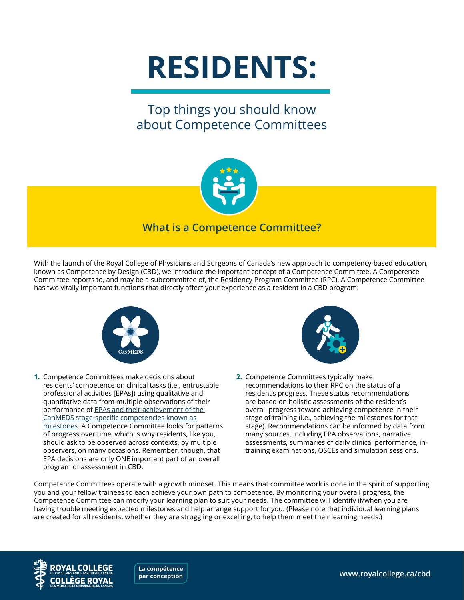# **RESIDENTS:**

## Top things you should know about Competence Committees



#### **What is a Competence Committee?**

With the launch of the Royal College of Physicians and Surgeons of Canada's new approach to competency-based education, known as Competence by Design (CBD), we introduce the important concept of a Competence Committee. A Competence Committee reports to, and may be a subcommittee of, the Residency Program Committee (RPC). A Competence Committee has two vitally important functions that directly affect your experience as a resident in a CBD program:



**1.** Competence Committees make decisions about residents' competence on clinical tasks (i.e., entrustable professional activities [EPAs]) using qualitative and quantitative data from multiple observations of their performance of [EPAs and their achievement of the](http://www.royalcollege.ca/rcsite/cbd/implementation/cbd-milestones-epas-e)  [CanMEDS stage-specific competencies known as](http://www.royalcollege.ca/rcsite/cbd/implementation/cbd-milestones-epas-e)  [milestones.](http://www.royalcollege.ca/rcsite/cbd/implementation/cbd-milestones-epas-e) A Competence Committee looks for patterns of progress over time, which is why residents, like you, should ask to be observed across contexts, by multiple observers, on many occasions. Remember, though, that EPA decisions are only ONE important part of an overall program of assessment in CBD.



**2.** Competence Committees typically make recommendations to their RPC on the status of a resident's progress. These status recommendations are based on holistic assessments of the resident's overall progress toward achieving competence in their stage of training (i.e., achieving the milestones for that stage). Recommendations can be informed by data from many sources, including EPA observations, narrative assessments, summaries of daily clinical performance, intraining examinations, OSCEs and simulation sessions.

Competence Committees operate with a growth mindset. This means that committee work is done in the spirit of supporting you and your fellow trainees to each achieve your own path to competence. By monitoring your overall progress, the Competence Committee can modify your learning plan to suit your needs. The committee will identify if/when you are having trouble meeting expected milestones and help arrange support for you. (Please note that individual learning plans are created for all residents, whether they are struggling or excelling, to help them meet their learning needs.)



**par conception**

**[www.royalcollege.ca/cbd](http://www.royalcollege.ca/cbd) La compétence**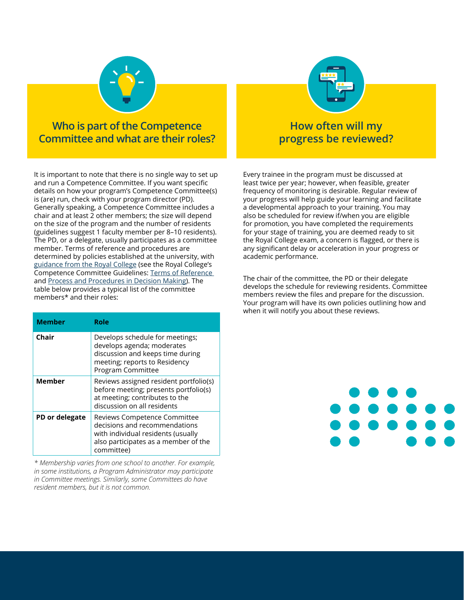

**Who is part of the Competence Committee and what are their roles?**

It is important to note that there is no single way to set up and run a Competence Committee. If you want specific details on how your program's Competence Committee(s) is (are) run, check with your program director (PD). Generally speaking, a Competence Committee includes a chair and at least 2 other members; the size will depend on the size of the program and the number of residents (guidelines suggest 1 faculty member per 8–10 residents). The PD, or a delegate, usually participates as a committee member. Terms of reference and procedures are determined by policies established at the university, with [guidance from the Royal College](http://www.royalcollege.ca/rcsite/cbd/assessment/competence-committees-e) (see the Royal College's Competence Committee Guidelines: [Terms of Reference](http://www.royalcollege.ca/rcsite/documents/cbd/competence-committees-guidelines-for-terms-of-reference-e)  and [Process and Procedures in Decision Making\)](http://www.royalcollege.ca/rcsite/documents/cbd/competence-committees-process-procedures-e). The table below provides a typical list of the committee members\* and their roles:

| <b>Member</b>  | Role                                                                                                                                                      |
|----------------|-----------------------------------------------------------------------------------------------------------------------------------------------------------|
| Chair          | Develops schedule for meetings;<br>develops agenda; moderates<br>discussion and keeps time during<br>meeting; reports to Residency<br>Program Committee   |
| <b>Member</b>  | Reviews assigned resident portfolio(s)<br>before meeting; presents portfolio(s)<br>at meeting; contributes to the<br>discussion on all residents          |
| PD or delegate | Reviews Competence Committee<br>decisions and recommendations<br>with individual residents (usually<br>also participates as a member of the<br>committee) |

*\* Membership varies from one school to another. For example, in some institutions, a Program Administrator may participate in Committee meetings. Similarly, some Committees do have resident members, but it is not common.*



#### **How often will my progress be reviewed?**

Every trainee in the program must be discussed at least twice per year; however, when feasible, greater frequency of monitoring is desirable. Regular review of your progress will help guide your learning and facilitate a developmental approach to your training. You may also be scheduled for review if/when you are eligible for promotion, you have completed the requirements for your stage of training, you are deemed ready to sit the Royal College exam, a concern is flagged, or there is any significant delay or acceleration in your progress or academic performance.

The chair of the committee, the PD or their delegate develops the schedule for reviewing residents. Committee members review the files and prepare for the discussion. Your program will have its own policies outlining how and when it will notify you about these reviews.

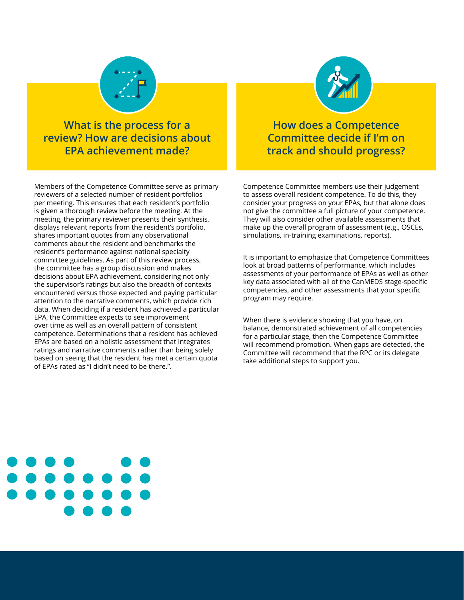

**What is the process for a review? How are decisions about EPA achievement made?**

Members of the Competence Committee serve as primary reviewers of a selected number of resident portfolios per meeting. This ensures that each resident's portfolio is given a thorough review before the meeting. At the meeting, the primary reviewer presents their synthesis, displays relevant reports from the resident's portfolio, shares important quotes from any observational comments about the resident and benchmarks the resident's performance against national specialty committee guidelines. As part of this review process, the committee has a group discussion and makes decisions about EPA achievement, considering not only the supervisor's ratings but also the breadth of contexts encountered versus those expected and paying particular attention to the narrative comments, which provide rich data. When deciding if a resident has achieved a particular EPA, the Committee expects to see improvement over time as well as an overall pattern of consistent competence. Determinations that a resident has achieved EPAs are based on a holistic assessment that integrates ratings and narrative comments rather than being solely based on seeing that the resident has met a certain quota of EPAs rated as "I didn't need to be there.".



**How does a Competence Committee decide if I'm on track and should progress?**

Competence Committee members use their judgement to assess overall resident competence. To do this, they consider your progress on your EPAs, but that alone does not give the committee a full picture of your competence. They will also consider other available assessments that make up the overall program of assessment (e.g., OSCEs, simulations, in-training examinations, reports).

It is important to emphasize that Competence Committees look at broad patterns of performance, which includes assessments of your performance of EPAs as well as other key data associated with all of the CanMEDS stage-specific competencies, and other assessments that your specific program may require.

When there is evidence showing that you have, on balance, demonstrated achievement of all competencies for a particular stage, then the Competence Committee will recommend promotion. When gaps are detected, the Committee will recommend that the RPC or its delegate take additional steps to support you.